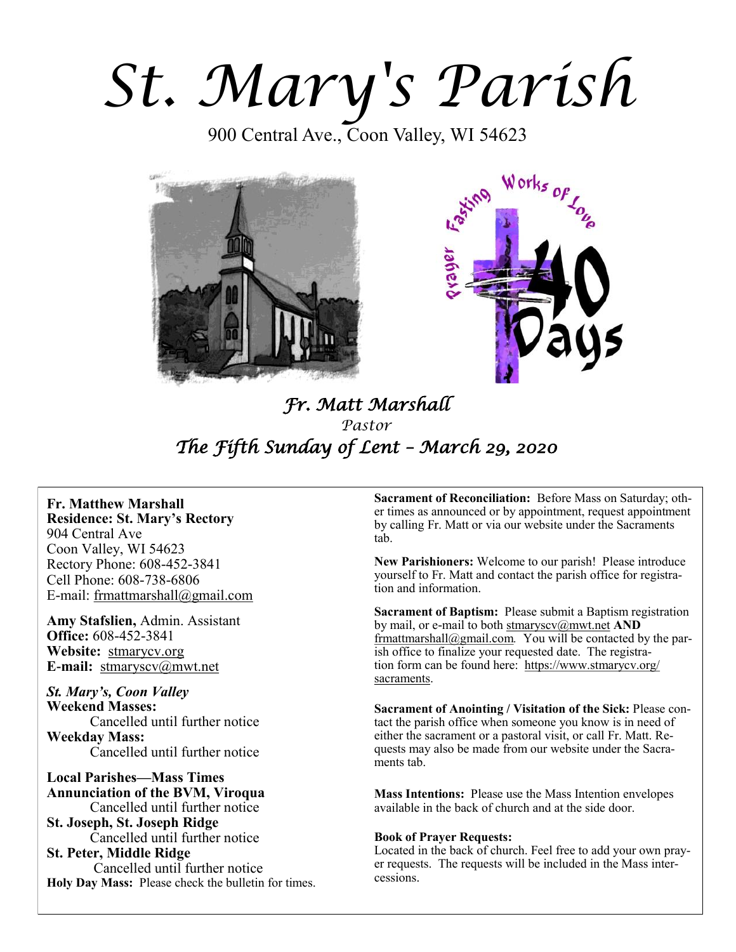*St. Mary's Parish* 

900 Central Ave., Coon Valley, WI 54623





### *Fr. Matt Marshall Pastor The Fifth Sunday of Lent – March 29, 2020*

**Fr. Matthew Marshall Residence: St. Mary's Rectory** 904 Central Ave Coon Valley, WI 54623 Rectory Phone: 608-452-3841 Cell Phone: 608-738-6806 E-mail: [frmattmarshall@gmail.com](mailto:frmattmarshall@gmail.com)

**Amy Stafslien,** Admin. Assistant **Office:** 608-452-3841 **Website:** <stmarycv.org> **E-mail:** [stmaryscv@mwt.net](mailto:stmaryscv@mwt.net)

*St. Mary's, Coon Valley*  **Weekend Masses:** Cancelled until further notice **Weekday Mass:**  Cancelled until further notice

**Local Parishes—Mass Times Annunciation of the BVM, Viroqua** Cancelled until further notice **St. Joseph, St. Joseph Ridge** Cancelled until further notice **St. Peter, Middle Ridge** Cancelled until further notice **Holy Day Mass:** Please check the bulletin for times.

**Sacrament of Reconciliation:** Before Mass on Saturday; other times as announced or by appointment, request appointment by calling Fr. Matt or via our website under the Sacraments tab.

**New Parishioners:** Welcome to our parish! Please introduce yourself to Fr. Matt and contact the parish office for registration and information.

**Sacrament of Baptism:** Please submit a Baptism registration by mail, or e-mail to both [stmaryscv@mwt.net](mailto:stmaryscv@mwt.net) **AND** [frmattmarshall@gmail.com](mailto:frmattmarshall@gmail.com)*.* You will be contacted by the parish office to finalize your requested date. The registration form can be found here: [https://www.stmarycv.org/](https://www.stmarycv.org/sacraments) [sacraments.](https://www.stmarycv.org/sacraments) 

**Sacrament of Anointing / Visitation of the Sick:** Please contact the parish office when someone you know is in need of either the sacrament or a pastoral visit, or call Fr. Matt. Requests may also be made from our website under the Sacraments tab.

**Mass Intentions:** Please use the Mass Intention envelopes available in the back of church and at the side door.

### **Book of Prayer Requests:**

Located in the back of church. Feel free to add your own prayer requests. The requests will be included in the Mass intercessions.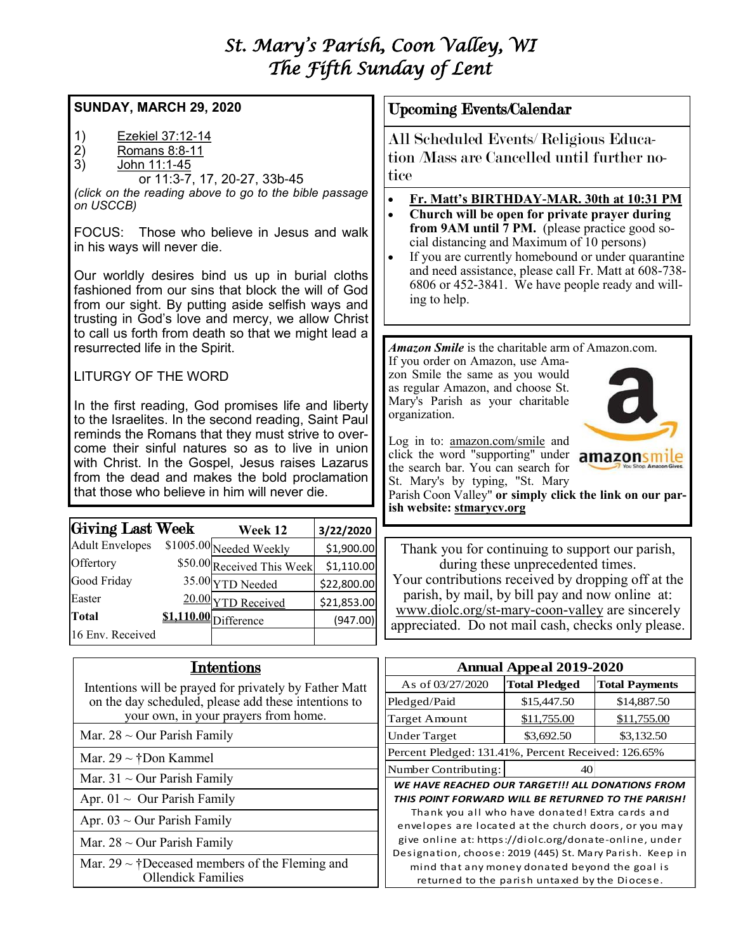### *St. Mary's Parish, Coon Valley, WI The Fifth Sunday of Lent*

| SUNDAY, MARCH 29, 2020                                                                                                                                                                                                                                                                                                                                                                                                                                                                                                 |                                                                    | <b>Upcoming Events/Calendar</b>                                                                                                                                                                                                                                                                        |                      |                       |
|------------------------------------------------------------------------------------------------------------------------------------------------------------------------------------------------------------------------------------------------------------------------------------------------------------------------------------------------------------------------------------------------------------------------------------------------------------------------------------------------------------------------|--------------------------------------------------------------------|--------------------------------------------------------------------------------------------------------------------------------------------------------------------------------------------------------------------------------------------------------------------------------------------------------|----------------------|-----------------------|
| $\left( \begin{matrix} 1 \end{matrix} \right)$<br>Ezekiel 37:12-14<br>2)<br>Romans 8:8-11<br>3)<br>John 11:1-45<br>or 11:3-7, 17, 20-27, 33b-45<br>(click on the reading above to go to the bible passage<br>on USCCB)<br>FOCUS: Those who believe in Jesus and walk<br>in his ways will never die.<br>Our worldly desires bind us up in burial cloths<br>fashioned from our sins that block the will of God<br>from our sight. By putting aside selfish ways and<br>trusting in God's love and mercy, we allow Christ |                                                                    | All Scheduled Events/Religious Educa-<br>tion Mass are Cancelled until further no-<br>tice<br>$\bullet$<br>Fr. Matt's BIRTHDAY-MAR. 30th at 10:31 PM<br>Church will be open for private prayer during<br>$\bullet$<br>from 9AM until 7 PM. (please practice good so-                                   |                      |                       |
|                                                                                                                                                                                                                                                                                                                                                                                                                                                                                                                        |                                                                    | cial distancing and Maximum of 10 persons)<br>If you are currently homebound or under quarantine<br>$\bullet$<br>and need assistance, please call Fr. Matt at 608-738-<br>6806 or 452-3841. We have people ready and will-<br>ing to help.                                                             |                      |                       |
| to call us forth from death so that we might lead a<br>resurrected life in the Spirit.                                                                                                                                                                                                                                                                                                                                                                                                                                 |                                                                    | Amazon Smile is the charitable arm of Amazon.com.<br>If you order on Amazon, use Ama-<br>zon Smile the same as you would<br>as regular Amazon, and choose St.                                                                                                                                          |                      |                       |
| LITURGY OF THE WORD                                                                                                                                                                                                                                                                                                                                                                                                                                                                                                    |                                                                    |                                                                                                                                                                                                                                                                                                        |                      |                       |
| In the first reading, God promises life and liberty<br>to the Israelites. In the second reading, Saint Paul<br>reminds the Romans that they must strive to over-<br>come their sinful natures so as to live in union<br>with Christ. In the Gospel, Jesus raises Lazarus<br>from the dead and makes the bold proclamation<br>that those who believe in him will never die.                                                                                                                                             |                                                                    | Mary's Parish as your charitable<br>organization.<br>Log in to: amazon.com/smile and<br>click the word "supporting" under amazo<br>the search bar. You can search for<br>St. Mary's by typing, "St. Mary<br>Parish Coon Valley" or simply click the link on our par-<br>ish website: stmarycv.org      |                      |                       |
| Giving Last Week<br>Week 12                                                                                                                                                                                                                                                                                                                                                                                                                                                                                            | 3/22/2020                                                          |                                                                                                                                                                                                                                                                                                        |                      |                       |
| <b>Adult Envelopes</b><br>\$1005.00 Needed Weekly<br>Offertory<br>\$50.00 Received This Week<br>Good Friday<br>35.00 YTD Needed<br>Easter<br>20.00 YTD Received<br><b>Total</b><br><b>\$1,110.00</b> Difference<br>16 Env. Received                                                                                                                                                                                                                                                                                    | \$1,900.00<br>\$1,110.00<br>\$22,800.00<br>\$21,853.00<br>(947.00) | Thank you for continuing to support our parish,<br>during these unprecedented times.<br>Your contributions received by dropping off at the<br>parish, by mail, by bill pay and now online at:<br>www.diolc.org/st-mary-coon-valley are sincerely<br>appreciated. Do not mail cash, checks only please. |                      |                       |
| <b>Intentions</b>                                                                                                                                                                                                                                                                                                                                                                                                                                                                                                      |                                                                    | <b>Annual Appeal 2019-2020</b>                                                                                                                                                                                                                                                                         |                      |                       |
|                                                                                                                                                                                                                                                                                                                                                                                                                                                                                                                        |                                                                    | As of 03/27/2020                                                                                                                                                                                                                                                                                       | <b>Total Pledged</b> | <b>Total Payments</b> |
| Intentions will be prayed for privately by Father Matt<br>on the day scheduled, please add these intentions to                                                                                                                                                                                                                                                                                                                                                                                                         |                                                                    | Pledged/Paid                                                                                                                                                                                                                                                                                           | \$15,447.50          | \$14,887.50           |
| your own, in your prayers from home.                                                                                                                                                                                                                                                                                                                                                                                                                                                                                   |                                                                    | <b>Target Amount</b>                                                                                                                                                                                                                                                                                   | \$11,755.00          | \$11,755.00           |
| Mar. $28 \sim$ Our Parish Family                                                                                                                                                                                                                                                                                                                                                                                                                                                                                       |                                                                    | <b>Under Target</b>                                                                                                                                                                                                                                                                                    | \$3,692.50           | \$3,132.50            |
| $Mar 20.4$ Don Kammal                                                                                                                                                                                                                                                                                                                                                                                                                                                                                                  |                                                                    | Percent Pledged: 131.41%, Percent Received: 126.65%                                                                                                                                                                                                                                                    |                      |                       |

- Mar. 29 ~ †Don Kammel
- Mar.  $31 \sim$  Our Parish Family
- Apr.  $01 \sim$  Our Parish Family
- Apr.  $03 \sim$  Our Parish Family
- Mar.  $28 \sim$  Our Parish Family

Mar. 29 ~ †Deceased members of the Fleming and **Ollendick Families** 

### mind that any money donated beyond the goal is returned to the parish untaxed by the Diocese.

*WE HAVE REACHED OUR TARGET!!! ALL DONATIONS FROM THIS POINT FORWARD WILL BE RETURNED TO THE PARISH!*  Thank you all who have donated! Extra cards and envelopes are located at the church doors, or you may give online at: https://diolc.org/donate-online, under Designation, choose: 2019 (445) St. Mary Parish. Keep in

Number Contributing: 40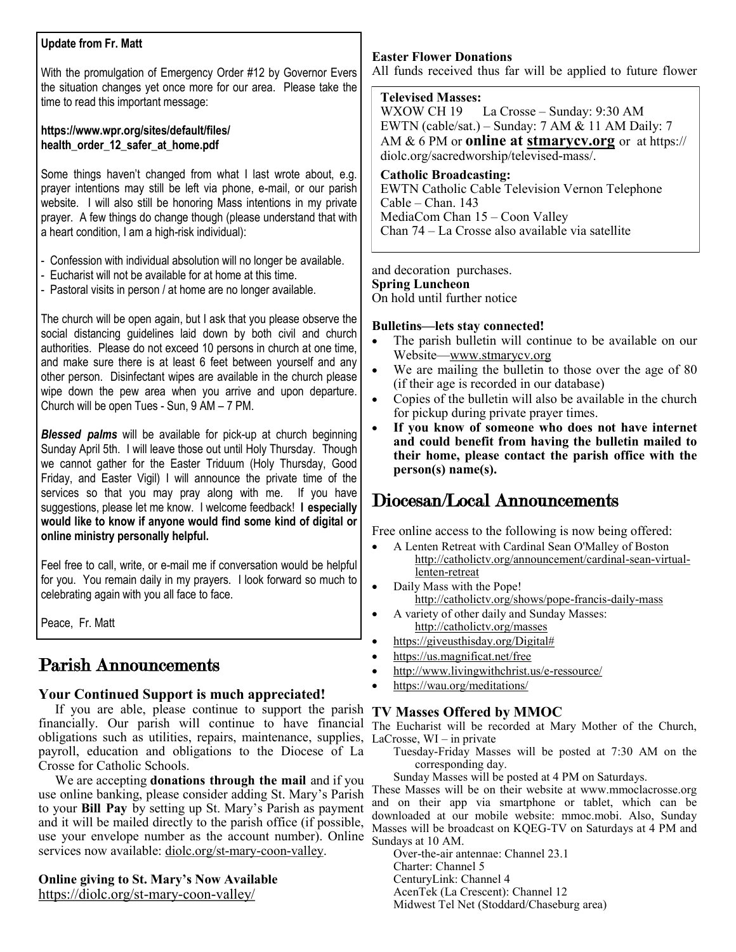### **Update from Fr. Matt**

With the promulgation of Emergency Order #12 by Governor Evers the situation changes yet once more for our area. Please take the time to read this important message:

### **[https://www.wpr.org/sites/default/files/](https://www.wpr.org/sites/default/files/health_order_12_safer_at_home.pdf) [health\\_order\\_12\\_safer\\_at\\_home.pdf](https://www.wpr.org/sites/default/files/health_order_12_safer_at_home.pdf)**

Some things haven't changed from what I last wrote about, e.g. prayer intentions may still be left via phone, e-mail, or our parish website. I will also still be honoring Mass intentions in my private prayer. A few things do change though (please understand that with a heart condition, I am a high-risk individual):

- Confession with individual absolution will no longer be available.
- Eucharist will not be available for at home at this time.
- Pastoral visits in person / at home are no longer available.

The church will be open again, but I ask that you please observe the social distancing guidelines laid down by both civil and church authorities. Please do not exceed 10 persons in church at one time, and make sure there is at least 6 feet between yourself and any other person. Disinfectant wipes are available in the church please wipe down the pew area when you arrive and upon departure. Church will be open Tues - Sun, 9 AM – 7 PM.

*Blessed palms* will be available for pick-up at church beginning Sunday April 5th. I will leave those out until Holy Thursday. Though we cannot gather for the Easter Triduum (Holy Thursday, Good Friday, and Easter Vigil) I will announce the private time of the services so that you may pray along with me. If you have suggestions, please let me know. I welcome feedback! **I especially would like to know if anyone would find some kind of digital or online ministry personally helpful.** 

Feel free to call, write, or e-mail me if conversation would be helpful for you. You remain daily in my prayers. I look forward so much to celebrating again with you all face to face.

Peace, Fr. Matt

### Parish Announcements

### **Your Continued Support is much appreciated!**

 If you are able, please continue to support the parish **TV Masses Offered by MMOC** financially. Our parish will continue to have financial obligations such as utilities, repairs, maintenance, supplies, LaCrosse, WI – in private payroll, education and obligations to the Diocese of La Crosse for Catholic Schools.

 We are accepting **donations through the mail** and if you use online banking, please consider adding St. Mary's Parish to your **Bill Pay** by setting up St. Mary's Parish as payment and it will be mailed directly to the parish office (if possible, use your envelope number as the account number). Online services now available: <u>diolc.org/st-mary-coon-valley</u>.

**Online giving to St. Mary's Now Available**

<https://diolc.org/st-mary-coon-valley/>

### **Easter Flower Donations**

All funds received thus far will be applied to future flower

### **Televised Masses:**

La Crosse – Sunday: 9:30 AM EWTN (cable/sat.) – Sunday: 7 AM & 11 AM Daily: 7 AM & 6 PM or **online at [stmarycv.org](http://www.stmarycv.org)** or at https:// diolc.org/sacredworship/televised-mass/.

### **Catholic Broadcasting:**

EWTN Catholic Cable Television Vernon Telephone Cable – Chan. 143 MediaCom Chan 15 – Coon Valley Chan 74 – La Crosse also available via satellite

and decoration purchases. **Spring Luncheon** On hold until further notice

### **Bulletins—lets stay connected!**

- The parish bulletin will continue to be available on our Website[—www.stmarycv.org](http://www.stmarycv.org)
- We are mailing the bulletin to those over the age of 80 (if their age is recorded in our database)
- Copies of the bulletin will also be available in the church for pickup during private prayer times.
- **If you know of someone who does not have internet and could benefit from having the bulletin mailed to their home, please contact the parish office with the person(s) name(s).**

### Diocesan/Local Announcements

Free online access to the following is now being offered:

- A Lenten Retreat with Cardinal Sean O'Malley of Boston [http://catholictv.org/announcement/cardinal-sean-virtual](http://catholictv.org/announcement/cardinal-sean-virtual-lenten-retreat)[lenten-retreat](http://catholictv.org/announcement/cardinal-sean-virtual-lenten-retreat)
- Daily Mass with the Pope! <http://catholictv.org/shows/pope-francis-daily-mass>
- A variety of other daily and Sunday Masses: <http://catholictv.org/masses>
- [https://giveusthisday.org/Digital#](https://giveusthisday.org/Digital)
- <https://us.magnificat.net/free>
- <http://www.livingwithchrist.us/e-ressource/>
- <https://wau.org/meditations/>

The Eucharist will be recorded at Mary Mother of the Church,

Tuesday-Friday Masses will be posted at 7:30 AM on the corresponding day.

Sunday Masses will be posted at 4 PM on Saturdays.

These Masses will be on their website at www.mmoclacrosse.org and on their app via smartphone or tablet, which can be downloaded at our mobile website: mmoc.mobi. Also, Sunday Masses will be broadcast on KQEG-TV on Saturdays at 4 PM and Sundays at 10 AM.

Over-the-air antennae: Channel 23.1 Charter: Channel 5 CenturyLink: Channel 4 AcenTek (La Crescent): Channel 12 Midwest Tel Net (Stoddard/Chaseburg area)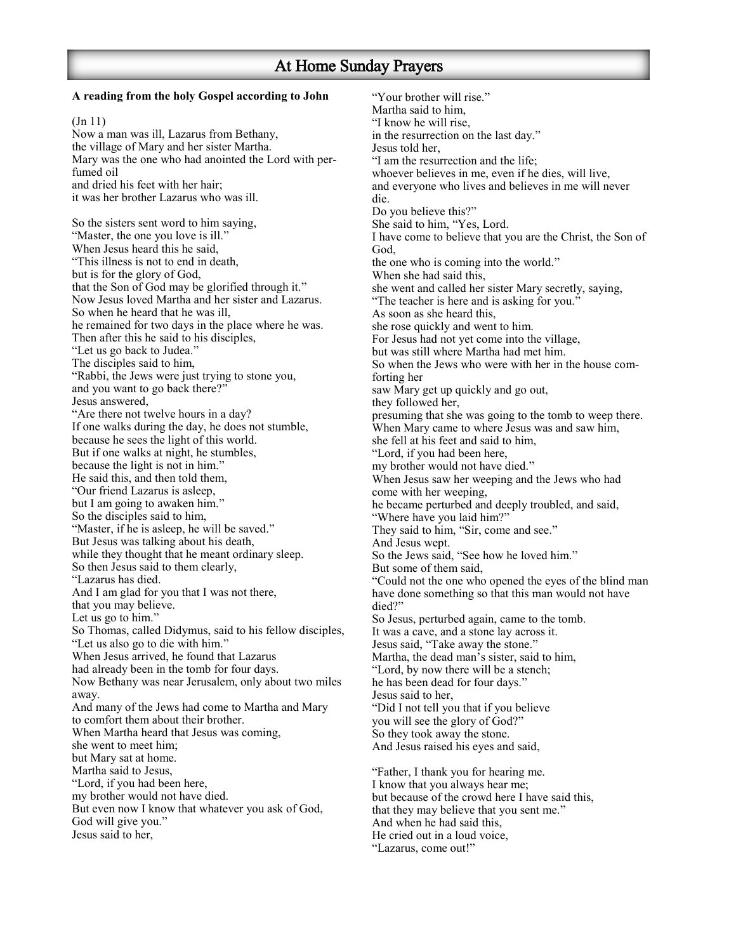### At Home Sunday Prayers

| A reading from the holy Gospel according to John                                     | "Your brother will rise."                                  |
|--------------------------------------------------------------------------------------|------------------------------------------------------------|
|                                                                                      | Martha said to him,                                        |
| (In 11)                                                                              | "I know he will rise,                                      |
| Now a man was ill, Lazarus from Bethany,                                             | in the resurrection on the last day."                      |
| the village of Mary and her sister Martha.                                           | Jesus told her,                                            |
| Mary was the one who had anointed the Lord with per-                                 | "I am the resurrection and the life;                       |
| fumed oil                                                                            | whoever believes in me, even if he dies, will live,        |
| and dried his feet with her hair;                                                    | and everyone who lives and believes in me will never       |
| it was her brother Lazarus who was ill.                                              | die.                                                       |
|                                                                                      | Do you believe this?"                                      |
| So the sisters sent word to him saying,                                              | She said to him, "Yes, Lord.                               |
| "Master, the one you love is ill."                                                   | I have come to believe that you are the Christ, the Son of |
| When Jesus heard this he said,                                                       | God,                                                       |
| "This illness is not to end in death,                                                | the one who is coming into the world."                     |
| but is for the glory of God,                                                         | When she had said this,                                    |
| that the Son of God may be glorified through it."                                    | she went and called her sister Mary secretly, saying,      |
| Now Jesus loved Martha and her sister and Lazarus.                                   | "The teacher is here and is asking for you."               |
| So when he heard that he was ill,                                                    | As soon as she heard this,                                 |
| he remained for two days in the place where he was.                                  | she rose quickly and went to him.                          |
| Then after this he said to his disciples,                                            | For Jesus had not yet come into the village,               |
| "Let us go back to Judea."                                                           | but was still where Martha had met him.                    |
| The disciples said to him,                                                           | So when the Jews who were with her in the house com-       |
| "Rabbi, the Jews were just trying to stone you,                                      | forting her                                                |
| and you want to go back there?"                                                      | saw Mary get up quickly and go out,                        |
| Jesus answered,                                                                      | they followed her,                                         |
| "Are there not twelve hours in a day?                                                | presuming that she was going to the tomb to weep there.    |
| If one walks during the day, he does not stumble,                                    | When Mary came to where Jesus was and saw him,             |
| because he sees the light of this world.                                             | she fell at his feet and said to him,                      |
| But if one walks at night, he stumbles,                                              | "Lord, if you had been here,                               |
| because the light is not in him."                                                    | my brother would not have died."                           |
| He said this, and then told them,                                                    | When Jesus saw her weeping and the Jews who had            |
| "Our friend Lazarus is asleep,                                                       | come with her weeping,                                     |
| but I am going to awaken him."                                                       | he became perturbed and deeply troubled, and said,         |
| So the disciples said to him,                                                        | "Where have you laid him?"                                 |
| "Master, if he is asleep, he will be saved."                                         | They said to him, "Sir, come and see."                     |
| But Jesus was talking about his death,                                               | And Jesus wept.                                            |
| while they thought that he meant ordinary sleep.                                     | So the Jews said, "See how he loved him."                  |
| So then Jesus said to them clearly,                                                  | But some of them said,                                     |
| "Lazarus has died.                                                                   | "Could not the one who opened the eyes of the blind man    |
| And I am glad for you that I was not there,                                          | have done something so that this man would not have        |
| that you may believe.                                                                | died?"                                                     |
| Let us go to him."                                                                   | So Jesus, perturbed again, came to the tomb.               |
| So Thomas, called Didymus, said to his fellow disciples,                             | It was a cave, and a stone lay across it.                  |
| "Let us also go to die with him."                                                    | Jesus said, "Take away the stone."                         |
| When Jesus arrived, he found that Lazarus                                            | Martha, the dead man's sister, said to him,                |
| had already been in the tomb for four days.                                          | "Lord, by now there will be a stench;                      |
| Now Bethany was near Jerusalem, only about two miles                                 | he has been dead for four days."                           |
| away.                                                                                | Jesus said to her,                                         |
| And many of the Jews had come to Martha and Mary                                     | "Did I not tell you that if you believe                    |
| to comfort them about their brother.                                                 |                                                            |
| When Martha heard that Jesus was coming,                                             | you will see the glory of God?"                            |
| she went to meet him;                                                                | So they took away the stone.                               |
| but Mary sat at home.                                                                | And Jesus raised his eyes and said,                        |
| Martha said to Jesus,                                                                | "Father, I thank you for hearing me.                       |
| "Lord, if you had been here,                                                         |                                                            |
|                                                                                      | I know that you always hear me;                            |
| my brother would not have died.<br>But even now I know that whatever you ask of God, | but because of the crowd here I have said this,            |
|                                                                                      | that they may believe that you sent me."                   |
| God will give you."<br>Jesus said to her,                                            | And when he had said this,                                 |
|                                                                                      | He cried out in a loud voice,                              |
|                                                                                      | "Lazarus, come out!"                                       |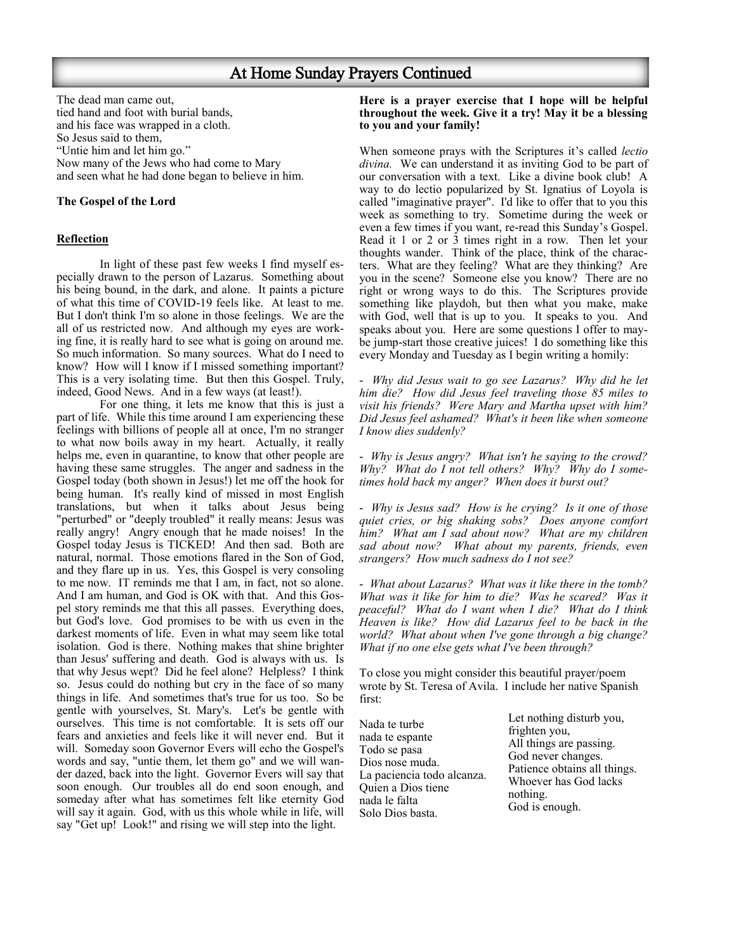### At Home Sunday Prayers Continued

The dead man came out, tied hand and foot with burial bands, and his face was wrapped in a cloth. So Jesus said to them, "Untie him and let him go." Now many of the Jews who had come to Mary and seen what he had done began to believe in him.

### **The Gospel of the Lord**

### **Reflection**

In light of these past few weeks I find myself especially drawn to the person of Lazarus. Something about his being bound, in the dark, and alone. It paints a picture of what this time of COVID-19 feels like. At least to me. But I don't think I'm so alone in those feelings. We are the all of us restricted now. And although my eyes are working fine, it is really hard to see what is going on around me. So much information. So many sources. What do I need to know? How will I know if I missed something important? This is a very isolating time. But then this Gospel. Truly, indeed, Good News. And in a few ways (at least!).

For one thing, it lets me know that this is just a part of life. While this time around I am experiencing these feelings with billions of people all at once, I'm no stranger to what now boils away in my heart. Actually, it really helps me, even in quarantine, to know that other people are having these same struggles. The anger and sadness in the Gospel today (both shown in Jesus!) let me off the hook for being human. It's really kind of missed in most English translations, but when it talks about Jesus being "perturbed" or "deeply troubled" it really means: Jesus was really angry! Angry enough that he made noises! In the Gospel today Jesus is TICKED! And then sad. Both are natural, normal. Those emotions flared in the Son of God, and they flare up in us. Yes, this Gospel is very consoling to me now. IT reminds me that I am, in fact, not so alone. And I am human, and God is OK with that. And this Gospel story reminds me that this all passes. Everything does, but God's love. God promises to be with us even in the darkest moments of life. Even in what may seem like total isolation. God is there. Nothing makes that shine brighter than Jesus' suffering and death. God is always with us. Is that why Jesus wept? Did he feel alone? Helpless? I think so. Jesus could do nothing but cry in the face of so many things in life. And sometimes that's true for us too. So be gentle with yourselves, St. Mary's. Let's be gentle with ourselves. This time is not comfortable. It is sets off our fears and anxieties and feels like it will never end. But it will. Someday soon Governor Evers will echo the Gospel's words and say, "untie them, let them go" and we will wander dazed, back into the light. Governor Evers will say that soon enough. Our troubles all do end soon enough, and someday after what has sometimes felt like eternity God will say it again. God, with us this whole while in life, will say "Get up! Look!" and rising we will step into the light.

### **Here is a prayer exercise that I hope will be helpful throughout the week. Give it a try! May it be a blessing to you and your family!**

When someone prays with the Scriptures it's called *lectio divina.* We can understand it as inviting God to be part of our conversation with a text. Like a divine book club! A way to do lectio popularized by St. Ignatius of Loyola is called "imaginative prayer". I'd like to offer that to you this week as something to try. Sometime during the week or even a few times if you want, re-read this Sunday's Gospel. Read it 1 or 2 or 3 times right in a row. Then let your thoughts wander. Think of the place, think of the characters. What are they feeling? What are they thinking? Are you in the scene? Someone else you know? There are no right or wrong ways to do this. The Scriptures provide something like playdoh, but then what you make, make with God, well that is up to you. It speaks to you. And speaks about you. Here are some questions I offer to maybe jump-start those creative juices! I do something like this every Monday and Tuesday as I begin writing a homily:

- *Why did Jesus wait to go see Lazarus? Why did he let him die? How did Jesus feel traveling those 85 miles to visit his friends? Were Mary and Martha upset with him? Did Jesus feel ashamed? What's it been like when someone I know dies suddenly?* 

*- Why is Jesus angry? What isn't he saying to the crowd? Why? What do I not tell others? Why? Why do I sometimes hold back my anger? When does it burst out?*

*- Why is Jesus sad? How is he crying? Is it one of those quiet cries, or big shaking sobs? Does anyone comfort him? What am I sad about now? What are my children sad about now? What about my parents, friends, even strangers? How much sadness do I not see?*

*- What about Lazarus? What was it like there in the tomb? What was it like for him to die? Was he scared? Was it peaceful? What do I want when I die? What do I think Heaven is like? How did Lazarus feel to be back in the world? What about when I've gone through a big change? What if no one else gets what I've been through?* 

To close you might consider this beautiful prayer/poem wrote by St. Teresa of Avila. I include her native Spanish first:

Nada te turbe nada te espante Todo se pasa Dios nose muda. La paciencia todo alcanza. Quien a Dios tiene nada le falta Solo Dios basta.

Let nothing disturb you, frighten you, All things are passing. God never changes. Patience obtains all things. Whoever has God lacks nothing. God is enough.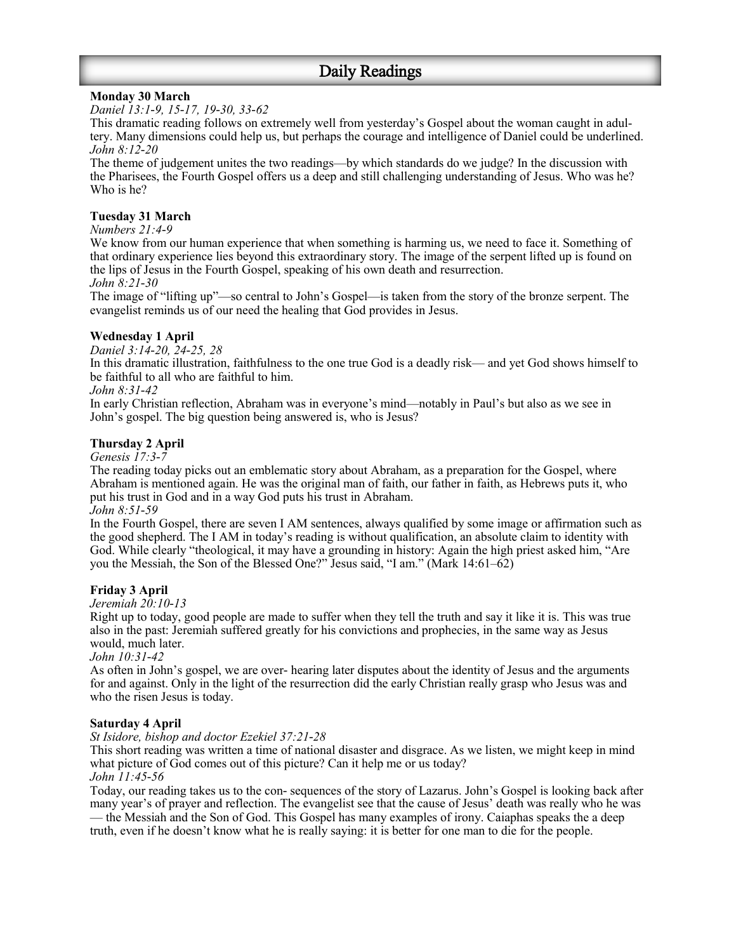### **Monday 30 March**

### *Daniel 13:1-9, 15-17, 19-30, 33-62*

This dramatic reading follows on extremely well from yesterday's Gospel about the woman caught in adultery. Many dimensions could help us, but perhaps the courage and intelligence of Daniel could be underlined. *John 8:12-20*

The theme of judgement unites the two readings—by which standards do we judge? In the discussion with the Pharisees, the Fourth Gospel offers us a deep and still challenging understanding of Jesus. Who was he? Who is he?

### **Tuesday 31 March**

### *Numbers 21:4-9*

We know from our human experience that when something is harming us, we need to face it. Something of that ordinary experience lies beyond this extraordinary story. The image of the serpent lifted up is found on the lips of Jesus in the Fourth Gospel, speaking of his own death and resurrection.

### *John 8:21-30*

The image of "lifting up"—so central to John's Gospel—is taken from the story of the bronze serpent. The evangelist reminds us of our need the healing that God provides in Jesus.

### **Wednesday 1 April**

*Daniel 3:14-20, 24-25, 28*

In this dramatic illustration, faithfulness to the one true God is a deadly risk— and yet God shows himself to be faithful to all who are faithful to him.

### *John 8:31-42*

In early Christian reflection, Abraham was in everyone's mind—notably in Paul's but also as we see in John's gospel. The big question being answered is, who is Jesus?

### **Thursday 2 April**

*Genesis 17:3-7*

The reading today picks out an emblematic story about Abraham, as a preparation for the Gospel, where Abraham is mentioned again. He was the original man of faith, our father in faith, as Hebrews puts it, who put his trust in God and in a way God puts his trust in Abraham.

*John 8:51-59*

In the Fourth Gospel, there are seven I AM sentences, always qualified by some image or affirmation such as the good shepherd. The I AM in today's reading is without qualification, an absolute claim to identity with God. While clearly "theological, it may have a grounding in history: Again the high priest asked him, "Are you the Messiah, the Son of the Blessed One?" Jesus said, "I am." (Mark 14:61–62)

### **Friday 3 April**

### *Jeremiah 20:10-13*

Right up to today, good people are made to suffer when they tell the truth and say it like it is. This was true also in the past: Jeremiah suffered greatly for his convictions and prophecies, in the same way as Jesus would, much later.

### *John 10:31-42*

As often in John's gospel, we are over- hearing later disputes about the identity of Jesus and the arguments for and against. Only in the light of the resurrection did the early Christian really grasp who Jesus was and who the risen Jesus is today.

### **Saturday 4 April**

### *St Isidore, bishop and doctor Ezekiel 37:21-28*

This short reading was written a time of national disaster and disgrace. As we listen, we might keep in mind what picture of God comes out of this picture? Can it help me or us today?

### *John 11:45-56*

Today, our reading takes us to the con- sequences of the story of Lazarus. John's Gospel is looking back after many year's of prayer and reflection. The evangelist see that the cause of Jesus' death was really who he was — the Messiah and the Son of God. This Gospel has many examples of irony. Caiaphas speaks the a deep truth, even if he doesn't know what he is really saying: it is better for one man to die for the people.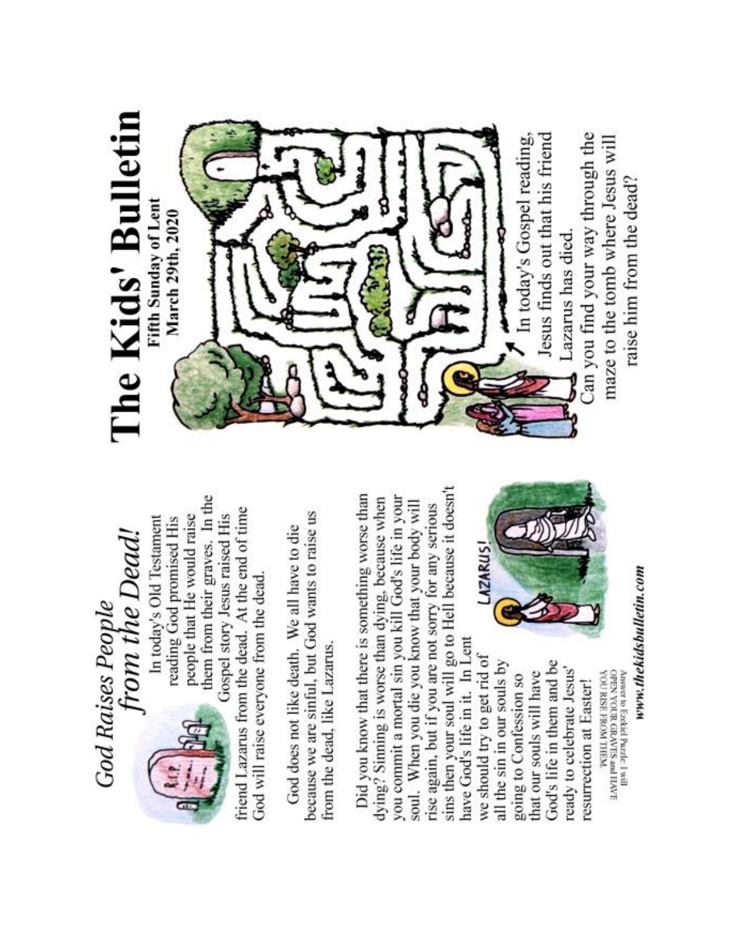### from the Dead! God Raises People



them from their graves. In the people that He would raise In today's Old Testament reading God promised His

friend Lazarus from the dead. At the end of time Gospel story Jesus raised His God will raise everyone from the dead.

because we are sinful, but God wants to raise us God does not like death. We all have to die from the dead, like Lazarus.

sins then your soul will go to Hell because it doesn't Did you know that there is something worse than you commit a mortal sin you kill God's life in your dying? Sinning is worse than dying, because when soul. When you die you know that your body will rise again, but if you are not sorry for any serious have God's life in it. In Lent

we should try to get rid of all the sin in our souls by God's life in them and be ready to celebrate Jesus' that our souls will have going to Confession so resurrection at Easter!

Answer to Ezekiel Puzzle: I will<br>OPEN YOUR GRAVES and HAVE YOU RISE FROM THEM.



## www.thekidsbulletin.com

# The Kids' Bulletin

Fifth Sunday of Lent March 29th, 2020



Jesus finds out that his friend In today's Gospel reading, Lazarus has died.

Can you find your way through the maze to the tomb where Jesus will raise him from the dead?